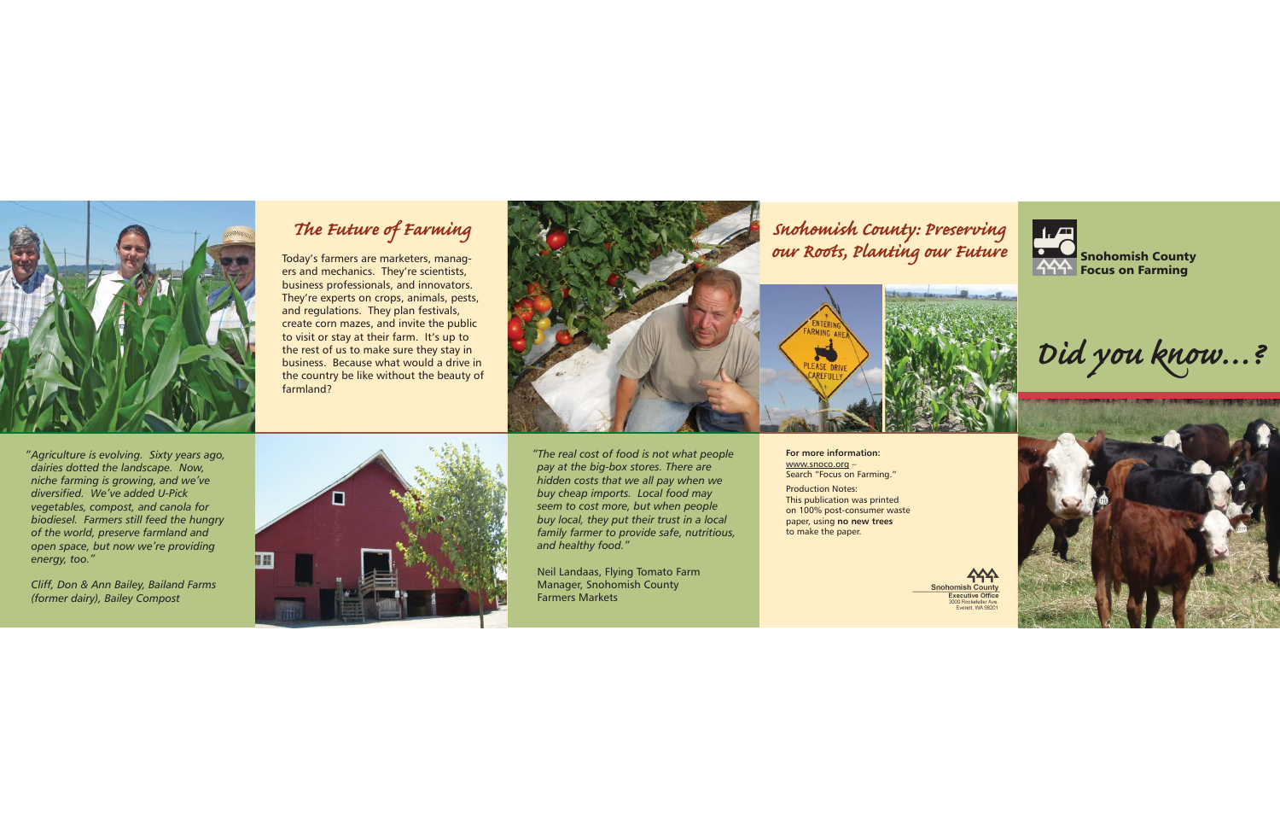

## The Future of Farming



*Did you know…?*





*Snohomish County: Pres erving our Root s, Planting our Future*



**For more information:**www.snoco.org – Search "Focus on Farming."

Production Notes: This publication was printed on 100% post-consumer waste paper, using **no new trees** to make the paper.





*" Agriculture is evolving. Sixty years ago, dairies dotted the landscape. Now, niche farming is growing, and we've diversified. We've added U-Pick vegetables, compost, and canola for biodiesel. Farmers still feed the hungry of the world, preserve farmland and open space, but now we're providing energy, too."*

 *Cliff, Don & Ann Bailey, Bailand Farms (former dairy), Bailey Compost*



Today's farmers are marketers, managers and mechanics. They're scientists, business professionals, and innovators. They're experts on crops, animals, pests, and regulations. They plan festivals, create corn mazes, and invite the public to visit or stay at their farm. It's up to the rest of us to make sure they stay in business. Because what would a drive in the country be like without the beauty of farmland?



*"The real cost of food is not what people pay at the big-box stores. There are hidden costs that we all pay when we buy cheap imports. Local food may seem to cost more, but when people buy local, they put their trust in a local family farmer to provide safe, nutritious, and healthy food."* 

 Neil Landaas, Flying Tomato Farm Manager, Snohomish County Farmers Markets